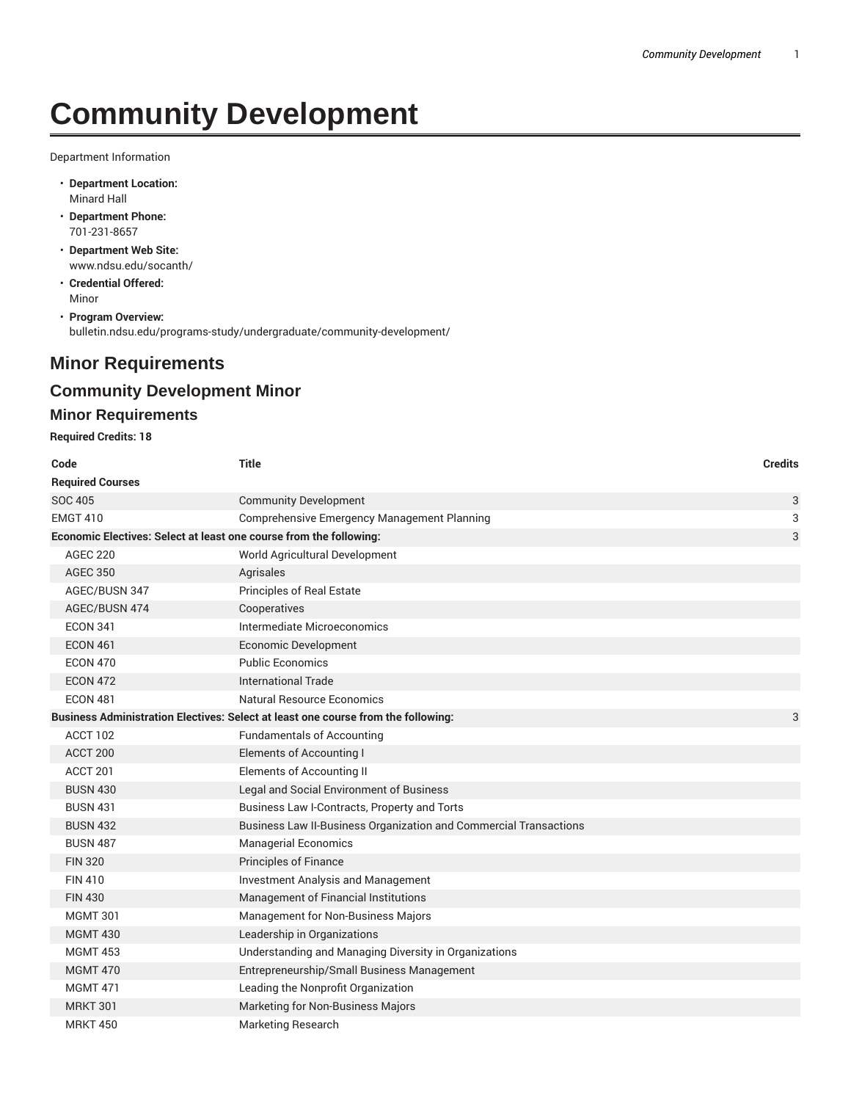# **Community Development**

Department Information

- **Department Location:** Minard Hall
- **Department Phone:** 701-231-8657
- **Department Web Site:** www.ndsu.edu/socanth/
- **Credential Offered:** Minor
- **Program Overview:** bulletin.ndsu.edu/programs-study/undergraduate/community-development/

## **Minor Requirements**

### **Community Development Minor**

#### **Minor Requirements**

**Required Credits: 18**

| Code                                                               | Title                                                                             | <b>Credits</b> |
|--------------------------------------------------------------------|-----------------------------------------------------------------------------------|----------------|
| <b>Required Courses</b>                                            |                                                                                   |                |
| <b>SOC 405</b>                                                     | <b>Community Development</b>                                                      | 3              |
| <b>EMGT 410</b>                                                    | <b>Comprehensive Emergency Management Planning</b>                                | 3              |
| Economic Electives: Select at least one course from the following: |                                                                                   | 3              |
| <b>AGEC 220</b>                                                    | World Agricultural Development                                                    |                |
| <b>AGEC 350</b>                                                    | Agrisales                                                                         |                |
| AGEC/BUSN 347                                                      | Principles of Real Estate                                                         |                |
| AGEC/BUSN 474                                                      | Cooperatives                                                                      |                |
| <b>ECON 341</b>                                                    | Intermediate Microeconomics                                                       |                |
| <b>ECON 461</b>                                                    | <b>Economic Development</b>                                                       |                |
| <b>ECON 470</b>                                                    | <b>Public Economics</b>                                                           |                |
| <b>ECON 472</b>                                                    | <b>International Trade</b>                                                        |                |
| <b>ECON 481</b>                                                    | <b>Natural Resource Economics</b>                                                 |                |
|                                                                    | Business Administration Electives: Select at least one course from the following: | 3              |
| ACCT 102                                                           | <b>Fundamentals of Accounting</b>                                                 |                |
| ACCT 200                                                           | Elements of Accounting I                                                          |                |
| ACCT 201                                                           | <b>Elements of Accounting II</b>                                                  |                |
| <b>BUSN 430</b>                                                    | Legal and Social Environment of Business                                          |                |
| <b>BUSN 431</b>                                                    | Business Law I-Contracts, Property and Torts                                      |                |
| <b>BUSN 432</b>                                                    | Business Law II-Business Organization and Commercial Transactions                 |                |
| <b>BUSN 487</b>                                                    | <b>Managerial Economics</b>                                                       |                |
| <b>FIN 320</b>                                                     | <b>Principles of Finance</b>                                                      |                |
| <b>FIN 410</b>                                                     | <b>Investment Analysis and Management</b>                                         |                |
| <b>FIN 430</b>                                                     | Management of Financial Institutions                                              |                |
| <b>MGMT 301</b>                                                    | Management for Non-Business Majors                                                |                |
| <b>MGMT 430</b>                                                    | Leadership in Organizations                                                       |                |
| <b>MGMT 453</b>                                                    | Understanding and Managing Diversity in Organizations                             |                |
| <b>MGMT 470</b>                                                    | Entrepreneurship/Small Business Management                                        |                |
| <b>MGMT 471</b>                                                    | Leading the Nonprofit Organization                                                |                |
| <b>MRKT 301</b>                                                    | Marketing for Non-Business Majors                                                 |                |
| <b>MRKT 450</b>                                                    | Marketing Research                                                                |                |